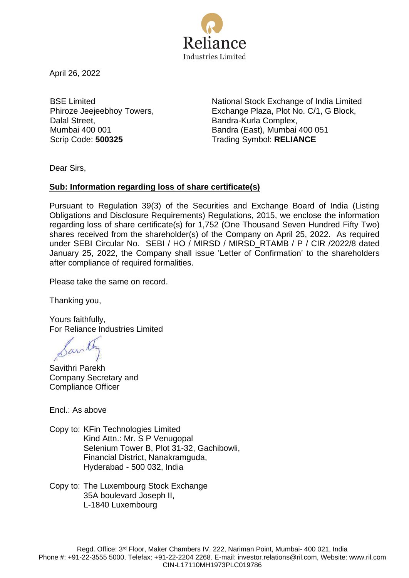

April 26, 2022

BSE Limited Phiroze Jeejeebhoy Towers, Dalal Street, Mumbai 400 001

National Stock Exchange of India Limited Exchange Plaza, Plot No. C/1, G Block, Bandra-Kurla Complex, Bandra (East), Mumbai 400 051 Scrip Code: **500325** Trading Symbol: **RELIANCE**

Dear Sirs,

## **Sub: Information regarding loss of share certificate(s)**

Pursuant to Regulation 39(3) of the Securities and Exchange Board of India (Listing Obligations and Disclosure Requirements) Regulations, 2015, we enclose the information regarding loss of share certificate(s) for 1,752 (One Thousand Seven Hundred Fifty Two) shares received from the shareholder(s) of the Company on April 25, 2022. As required under SEBI Circular No. SEBI / HO / MIRSD / MIRSD\_RTAMB / P / CIR /2022/8 dated January 25, 2022, the Company shall issue 'Letter of Confirmation' to the shareholders after compliance of required formalities.

Please take the same on record.

Thanking you,

Yours faithfully, For Reliance Industries Limited

Sarith

Savithri Parekh Company Secretary and Compliance Officer

Encl.: As above

Copy to: KFin Technologies Limited Kind Attn.: Mr. S P Venugopal Selenium Tower B, Plot 31-32, Gachibowli, Financial District, Nanakramguda, Hyderabad - 500 032, India

Copy to: The Luxembourg Stock Exchange 35A boulevard Joseph II, L-1840 Luxembourg